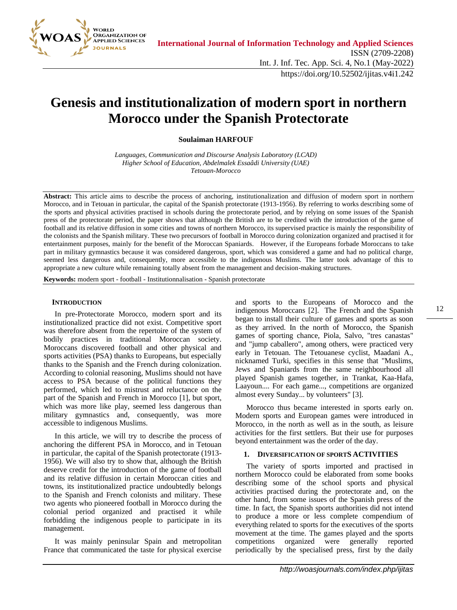

# **Genesis and institutionalization of modern sport in northern Morocco under the Spanish Protectorate**

**Soulaiman HARFOUF**

*Languages, Communication and Discourse Analysis Laboratory (LCAD) Higher School of Education, Abdelmalek Essaâdi University (UAE) Tetouan-Morocco*

Abstract: This article aims to describe the process of anchoring, institutionalization and diffusion of modern sport in northern Morocco, and in Tetouan in particular, the capital of the Spanish protectorate (1913-1956). By referring to works describing some of the sports and physical activities practised in schools during the protectorate period, and by relying on some issues of the Spanish press of the protectorate period, the paper shows that although the British are to be credited with the introduction of the game of football and its relative diffusion in some cities and towns of northern Morocco, its supervised practice is mainly the responsibility of the colonists and the Spanish military. These two precursors of football in Morocco during colonization organized and practised it for entertainment purposes, mainly for the benefit of the Moroccan Spaniards. However, if the Europeans forbade Moroccans to take part in military gymnastics because it was considered dangerous, sport, which was considered a game and had no political charge, seemed less dangerous and, consequently, more accessible to the indigenous Muslims. The latter took advantage of this to appropriate a new culture while remaining totally absent from the management and decision-making structures.

**Keywords:** modern sport - football - Institutionnalisation - Spanish protectorate

#### **INTRODUCTION**

In pre-Protectorate Morocco, modern sport and its institutionalized practice did not exist. Competitive sport was therefore absent from the repertoire of the system of bodily practices in traditional Moroccan society. Moroccans discovered football and other physical and sports activities (PSA) thanks to Europeans, but especially thanks to the Spanish and the French during colonization. According to colonial reasoning, Muslims should not have access to PSA because of the political functions they performed, which led to mistrust and reluctance on the part of the Spanish and French in Morocco [1], but sport, which was more like play, seemed less dangerous than military gymnastics and, consequently, was more accessible to indigenous Muslims.

In this article, we will try to describe the process of anchoring the different PSA in Morocco, and in Tetouan in particular, the capital of the Spanish protectorate (1913- 1956). We will also try to show that, although the British deserve credit for the introduction of the game of football and its relative diffusion in certain Moroccan cities and towns, its institutionalized practice undoubtedly belongs to the Spanish and French colonists and military. These two agents who pioneered football in Morocco during the colonial period organized and practised it while forbidding the indigenous people to participate in its management.

It was mainly peninsular Spain and metropolitan France that communicated the taste for physical exercise and sports to the Europeans of Morocco and the indigenous Moroccans [2]. The French and the Spanish began to install their culture of games and sports as soon as they arrived. In the north of Morocco, the Spanish games of sporting chance, Piola, Salvo, "tres canastas" and "jump caballero", among others, were practiced very early in Tetouan. The Tetouanese cyclist, Maadani A., nicknamed Turki, specifies in this sense that "Muslims, Jews and Spaniards from the same neighbourhood all played Spanish games together, in Trankat, Kaa-Hafa, Laayoun.... For each game..., competitions are organized almost every Sunday... by volunteers" [3].

Morocco thus became interested in sports early on. Modern sports and European games were introduced in Morocco, in the north as well as in the south, as leisure activities for the first settlers. But their use for purposes beyond entertainment was the order of the day.

#### **1. DIVERSIFICATION OF SPORTS ACTIVITIES**

The variety of sports imported and practised in northern Morocco could be elaborated from some books describing some of the school sports and physical activities practised during the protectorate and, on the other hand, from some issues of the Spanish press of the time. In fact, the Spanish sports authorities did not intend to produce a more or less complete compendium of everything related to sports for the executives of the sports movement at the time. The games played and the sports competitions organized were generally reported periodically by the specialised press, first by the daily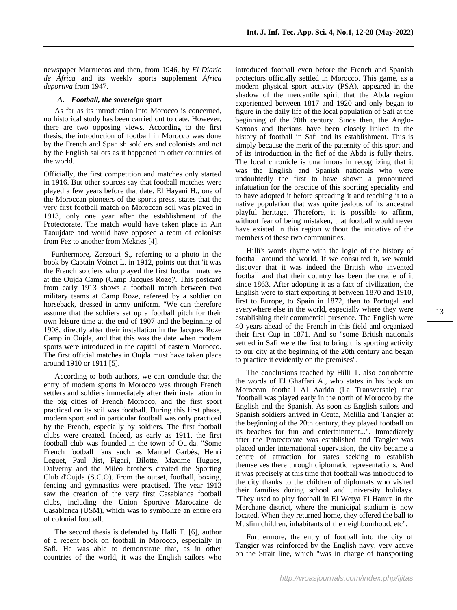newspaper Marruecos and then, from 1946, by *El Diario de África* and its weekly sports supplement *África deportiva* from 1947.

### *A. Football, the sovereign sport*

As far as its introduction into Morocco is concerned, no historical study has been carried out to date. However, there are two opposing views. According to the first thesis, the introduction of football in Morocco was done by the French and Spanish soldiers and colonists and not by the English sailors as it happened in other countries of the world.

Officially, the first competition and matches only started in 1916. But other sources say that football matches were played a few years before that date. El Hayani H., one of the Moroccan pioneers of the sports press, states that the very first football match on Moroccan soil was played in 1913, only one year after the establishment of the Protectorate. The match would have taken place in Aïn Taoujdate and would have opposed a team of colonists from Fez to another from Meknes [4].

 Furthermore, Zerzouri S., referring to a photo in the book by Captain Voinot L. in 1912, points out that 'it was the French soldiers who played the first football matches at the Oujda Camp (Camp Jacques Roze)'. This postcard from early 1913 shows a football match between two military teams at Camp Roze, refereed by a soldier on horseback, dressed in army uniform. "We can therefore assume that the soldiers set up a football pitch for their own leisure time at the end of 1907 and the beginning of 1908, directly after their installation in the Jacques Roze Camp in Oujda, and that this was the date when modern sports were introduced in the capital of eastern Morocco. The first official matches in Oujda must have taken place around 1910 or 1911 [5].

According to both authors, we can conclude that the entry of modern sports in Morocco was through French settlers and soldiers immediately after their installation in the big cities of French Morocco, and the first sport practiced on its soil was football. During this first phase, modern sport and in particular football was only practiced by the French, especially by soldiers. The first football clubs were created. Indeed, as early as 1911, the first football club was founded in the town of Oujda. "Some French football fans such as Manuel Garbès, Henri Leguet, Paul Jist, Figari, Bilotte, Maxime Hugues, Dalverny and the Miléo brothers created the Sporting Club d'Oujda (S.C.O). From the outset, football, boxing, fencing and gymnastics were practised. The year 1913 saw the creation of the very first Casablanca football clubs, including the Union Sportive Marocaine de Casablanca (USM), which was to symbolize an entire era of colonial football.

The second thesis is defended by Halli T. [6], author of a recent book on football in Morocco, especially in Safi. He was able to demonstrate that, as in other countries of the world, it was the English sailors who

introduced football even before the French and Spanish protectors officially settled in Morocco. This game, as a modern physical sport activity (PSA), appeared in the shadow of the mercantile spirit that the Abda region experienced between 1817 and 1920 and only began to figure in the daily life of the local population of Safi at the beginning of the 20th century. Since then, the Anglo-Saxons and Iberians have been closely linked to the history of football in Safi and its establishment. This is simply because the merit of the paternity of this sport and of its introduction in the fief of the Abda is fully theirs. The local chronicle is unanimous in recognizing that it was the English and Spanish nationals who were undoubtedly the first to have shown a pronounced infatuation for the practice of this sporting speciality and to have adopted it before spreading it and teaching it to a native population that was quite jealous of its ancestral playful heritage. Therefore, it is possible to affirm, without fear of being mistaken, that football would never have existed in this region without the initiative of the members of these two communities.

Hilli's words rhyme with the logic of the history of football around the world. If we consulted it, we would discover that it was indeed the British who invented football and that their country has been the cradle of it since 1863. After adopting it as a fact of civilization, the English were to start exporting it between 1870 and 1910, first to Europe, to Spain in 1872, then to Portugal and everywhere else in the world, especially where they were establishing their commercial presence. The English were 40 years ahead of the French in this field and organized their first Cup in 1871. And so "some British nationals settled in Safi were the first to bring this sporting activity to our city at the beginning of the 20th century and began to practice it evidently on the premises".

The conclusions reached by Hilli T. also corroborate the words of El Ghaffari A., who states in his book on Moroccan football Al Aarida (La Transversale) that "football was played early in the north of Morocco by the English and the Spanish. As soon as English sailors and Spanish soldiers arrived in Ceuta, Melilla and Tangier at the beginning of the 20th century, they played football on its beaches for fun and entertainment...". Immediately after the Protectorate was established and Tangier was placed under international supervision, the city became a centre of attraction for states seeking to establish themselves there through diplomatic representations. And it was precisely at this time that football was introduced to the city thanks to the children of diplomats who visited their families during school and university holidays. "They used to play football in El Wetya El Hamra in the Merchane district, where the municipal stadium is now located. When they returned home, they offered the ball to Muslim children, inhabitants of the neighbourhood, etc".

Furthermore, the entry of football into the city of Tangier was reinforced by the English navy, very active on the Strait line, which "was in charge of transporting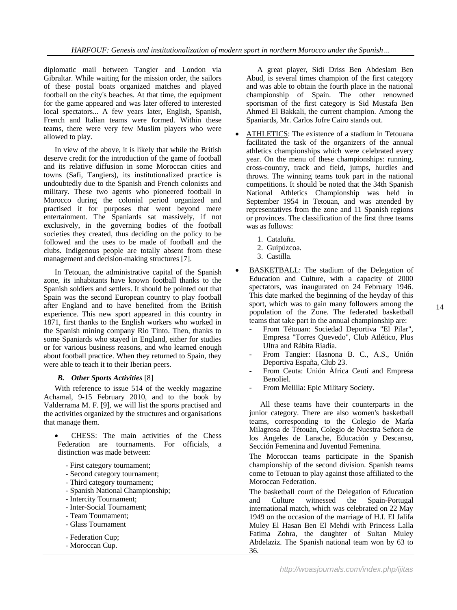diplomatic mail between Tangier and London via Gibraltar. While waiting for the mission order, the sailors of these postal boats organized matches and played football on the city's beaches. At that time, the equipment for the game appeared and was later offered to interested local spectators... A few years later, English, Spanish, French and Italian teams were formed. Within these teams, there were very few Muslim players who were allowed to play.

In view of the above, it is likely that while the British deserve credit for the introduction of the game of football and its relative diffusion in some Moroccan cities and towns (Safi, Tangiers), its institutionalized practice is undoubtedly due to the Spanish and French colonists and military. These two agents who pioneered football in Morocco during the colonial period organized and practised it for purposes that went beyond mere entertainment. The Spaniards sat massively, if not exclusively, in the governing bodies of the football societies they created, thus deciding on the policy to be followed and the uses to be made of football and the clubs. Indigenous people are totally absent from these management and decision-making structures [7].

In Tetouan, the administrative capital of the Spanish zone, its inhabitants have known football thanks to the Spanish soldiers and settlers. It should be pointed out that Spain was the second European country to play football after England and to have benefited from the British experience. This new sport appeared in this country in 1871, first thanks to the English workers who worked in the Spanish mining company Rio Tinto. Then, thanks to some Spaniards who stayed in England, either for studies or for various business reasons, and who learned enough about football practice. When they returned to Spain, they were able to teach it to their Iberian peers.

# *B. Other Sports Activities* [8]

With reference to issue 514 of the weekly magazine Achamal, 9-15 February 2010, and to the book by Valderrama M. F. [9], we will list the sports practised and the activities organized by the structures and organisations that manage them.

- CHESS: The main activities of the Chess Federation are tournaments. For officials, a distinction was made between:
	- First category tournament;
	- Second category tournament;
	- Third category tournament;
	- Spanish National Championship;
	- Intercity Tournament;
	- Inter-Social Tournament;
	- Team Tournament;
	- Glass Tournament
	- Federation Cup;
	- Moroccan Cup.

A great player, Sidi Driss Ben Abdeslam Ben Abud, is several times champion of the first category and was able to obtain the fourth place in the national championship of Spain. The other renowned sportsman of the first category is Sid Mustafa Ben Ahmed El Bakkali, the current champion. Among the Spaniards, Mr. Carlos Jofre Cairo stands out.

- ATHLETICS: The existence of a stadium in Tetouana facilitated the task of the organizers of the annual athletics championships which were celebrated every year. On the menu of these championships: running, cross-country, track and field, jumps, hurdles and throws. The winning teams took part in the national competitions. It should be noted that the 34th Spanish National Athletics Championship was held in September 1954 in Tetouan, and was attended by representatives from the zone and 11 Spanish regions or provinces. The classification of the first three teams was as follows:
	- 1. Cataluña.
	- 2. Guipúzcoa.
	- 3. Castilla.
- BASKETBALL: The stadium of the Delegation of Education and Culture, with a capacity of 2000 spectators, was inaugurated on 24 February 1946. This date marked the beginning of the heyday of this sport, which was to gain many followers among the population of the Zone. The federated basketball teams that take part in the annual championship are:
	- From Tétouan: Sociedad Deportiva "El Pilar", Empresa "Torres Quevedo", Club Atlético, Plus Ultra and Rábita Riadía.
	- From Tangier: Hasnona B. C., A.S., Unión Deportiva España, Club 23.
	- From Ceuta: Unión África Ceutí and Empresa Benoliel.
	- From Melilla: Epic Military Society.

All these teams have their counterparts in the junior category. There are also women's basketball teams, corresponding to the Colegio de María Milagrosa de Tétouàn, Colegio de Nuestra Señora de los Angeles de Larache, Educación y Descanso, Sección Femenina and Juventud Femenina.

The Moroccan teams participate in the Spanish championship of the second division. Spanish teams come to Tetouan to play against those affiliated to the Moroccan Federation.

The basketball court of the Delegation of Education and Culture witnessed the Spain-Portugal international match, which was celebrated on 22 May 1949 on the occasion of the marriage of H.I. El Jalifa Muley El Hasan Ben El Mehdi with Princess Lalla Fatima Zohra, the daughter of Sultan Muley Abdelaziz. The Spanish national team won by 63 to 36.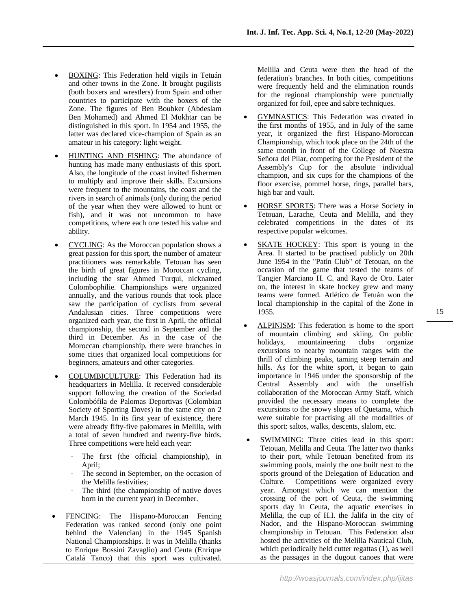- BOXING: This Federation held vigils in Tetuán and other towns in the Zone. It brought pugilists (both boxers and wrestlers) from Spain and other countries to participate with the boxers of the Zone. The figures of Ben Boubker (Abdeslam Ben Mohamed) and Ahmed El Mokhtar can be distinguished in this sport. In 1954 and 1955, the latter was declared vice-champion of Spain as an amateur in his category: light weight.
- HUNTING AND FISHING: The abundance of hunting has made many enthusiasts of this sport. Also, the longitude of the coast invited fishermen to multiply and improve their skills. Excursions were frequent to the mountains, the coast and the rivers in search of animals (only during the period of the year when they were allowed to hunt or fish), and it was not uncommon to have competitions, where each one tested his value and ability.
- CYCLING: As the Moroccan population shows a great passion for this sport, the number of amateur practitioners was remarkable. Tetouan has seen the birth of great figures in Moroccan cycling, including the star Ahmed Turquí, nicknamed Colombophilie. Championships were organized annually, and the various rounds that took place saw the participation of cyclists from several Andalusian cities. Three competitions were organized each year, the first in April, the official championship, the second in September and the third in December. As in the case of the Moroccan championship, there were branches in some cities that organized local competitions for beginners, amateurs and other categories.
- COLUMBICULTURE: This Federation had its headquarters in Melilla. It received considerable support following the creation of the Sociedad Colombófila de Palomas Deportivas (Colombian Society of Sporting Doves) in the same city on 2 March 1945. In its first year of existence, there were already fifty-five palomares in Melilla, with a total of seven hundred and twenty-five birds. Three competitions were held each year:
	- The first (the official championship), in April;
	- The second in September, on the occasion of the Melilla festivities;
	- The third (the championship of native doves born in the current year) in December.
- FENCING: The Hispano-Moroccan Fencing Federation was ranked second (only one point behind the Valencian) in the 1945 Spanish National Championships. It was in Melilla (thanks to Enrique Bossini Zavaglio) and Ceuta (Enrique Catalá Tanco) that this sport was cultivated.

Melilla and Ceuta were then the head of the federation's branches. In both cities, competitions were frequently held and the elimination rounds for the regional championship were punctually organized for foil, epee and sabre techniques.

- GYMNASTICS: This Federation was created in the first months of 1955, and in July of the same year, it organized the first Hispano-Moroccan Championship, which took place on the 24th of the same month in front of the College of Nuestra Señora del Pilar, competing for the President of the Assembly's Cup for the absolute individual champion, and six cups for the champions of the floor exercise, pommel horse, rings, parallel bars, high bar and vault.
- HORSE SPORTS: There was a Horse Society in Tetouan, Larache, Ceuta and Melilla, and they celebrated competitions in the dates of its respective popular welcomes.
- SKATE HOCKEY: This sport is young in the Area. It started to be practised publicly on 20th June 1954 in the "Patín Club" of Tetouan, on the occasion of the game that tested the teams of Tangier Marciano H. C. and Rayo de Oro. Later on, the interest in skate hockey grew and many teams were formed. Atlético de Tetuán won the local championship in the capital of the Zone in 1955.
- ALPINISM: This federation is home to the sport of mountain climbing and skiing. On public holidays, mountaineering clubs organize excursions to nearby mountain ranges with the thrill of climbing peaks, taming steep terrain and hills. As for the white sport, it began to gain importance in 1946 under the sponsorship of the Central Assembly and with the unselfish collaboration of the Moroccan Army Staff, which provided the necessary means to complete the excursions to the snowy slopes of Quetama, which were suitable for practising all the modalities of this sport: saltos, walks, descents, slalom, etc.
- SWIMMING: Three cities lead in this sport: Tetouan, Melilla and Ceuta. The latter two thanks to their port, while Tetouan benefited from its swimming pools, mainly the one built next to the sports ground of the Delegation of Education and Culture. Competitions were organized every year. Amongst which we can mention the crossing of the port of Ceuta, the swimming sports day in Ceuta, the aquatic exercises in Melilla, the cup of H.I. the Jalifa in the city of Nador, and the Hispano-Moroccan swimming championship in Tetouan. This Federation also hosted the activities of the Melilla Nautical Club, which periodically held cutter regattas (1), as well as the passages in the dugout canoes that were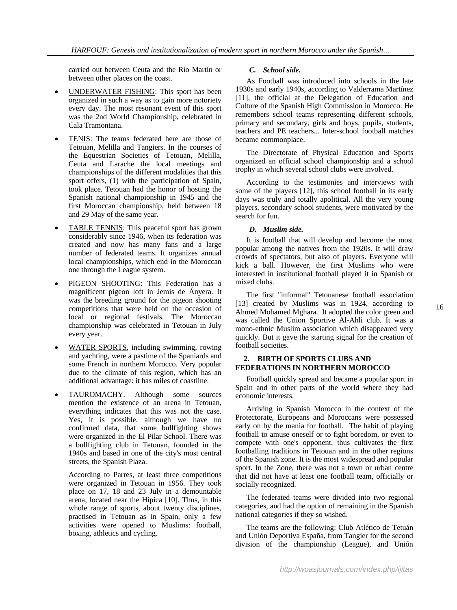carried out between Ceuta and the Río Martín or between other places on the coast.

- UNDERWATER FISHING: This sport has been organized in such a way as to gain more notoriety every day. The most resonant event of this sport was the 2nd World Championship, celebrated in Cala Tramontana.
- TENIS: The teams federated here are those of Tetouan, Melilla and Tangiers. In the courses of the Equestrian Societies of Tetouan, Melilla, Ceuta and Larache the local meetings and championships of the different modalities that this sport offers, (1) with the participation of Spain, took place. Tetouan had the honor of hosting the Spanish national championship in 1945 and the first Moroccan championship, held between 18 and 29 May of the same year.
- TABLE TENNIS: This peaceful sport has grown considerably since 1946, when its federation was created and now has many fans and a large number of federated teams. It organizes annual local championships, which end in the Moroccan one through the League system.
- PIGEON SHOOTING: This Federation has a magnificent pigeon loft in Jemís de Ányera. It was the breeding ground for the pigeon shooting competitions that were held on the occasion of local or regional festivals. The Moroccan championship was celebrated in Tetouan in July every year.
- WATER SPORTS, including swimming, rowing and yachting, were a pastime of the Spaniards and some French in northern Morocco. Very popular due to the climate of this region, which has an additional advantage: it has miles of coastline.
- TAUROMACHY. Although some sources mention the existence of an arena in Tetouan, everything indicates that this was not the case. Yes, it is possible, although we have no confirmed data, that some bullfighting shows were organized in the El Pilar School. There was a bullfighting club in Tetouan, founded in the 1940s and based in one of the city's most central streets, the Spanish Plaza.

According to Parres, at least three competitions were organized in Tetouan in 1956. They took place on 17, 18 and 23 July in a demountable arena, located near the Hípica [10]. Thus, in this whole range of sports, about twenty disciplines, practised in Tetouan as in Spain, only a few activities were opened to Muslims: football, boxing, athletics and cycling.

# *C. School side.*

As Football was introduced into schools in the late 1930s and early 1940s, according to Valderrama Martínez [11], the official at the Delegation of Education and Culture of the Spanish High Commission in Morocco. He remembers school teams representing different schools, primary and secondary, girls and boys, pupils, students, teachers and PE teachers... Inter-school football matches became commonplace.

The Directorate of Physical Education and Sports organized an official school championship and a school trophy in which several school clubs were involved.

According to the testimonies and interviews with some of the players [12], this school football in its early days was truly and totally apolitical. All the very young players, secondary school students, were motivated by the search for fun.

# *D. Muslim side.*

It is football that will develop and become the most popular among the natives from the 1920s. It will draw crowds of spectators, but also of players. Everyone will kick a ball. However, the first Muslims who were interested in institutional football played it in Spanish or mixed clubs.

The first "informal" Tetouanese football association [13] created by Muslims was in 1924, according to Ahmed Mohamed Mghara. It adopted the color green and was called the Union Sportive Al-Ahli club. It was a mono-ethnic Muslim association which disappeared very quickly. But it gave the starting signal for the creation of football societies.

### **2. BIRTH OF SPORTS CLUBS AND FEDERATIONS IN NORTHERN MOROCCO**

Football quickly spread and became a popular sport in Spain and in other parts of the world where they had economic interests.

Arriving in Spanish Morocco in the context of the Protectorate, Europeans and Moroccans were possessed early on by the mania for football. The habit of playing football to amuse oneself or to fight boredom, or even to compete with one's opponent, thus cultivates the first footballing traditions in Tetouan and in the other regions of the Spanish zone. It is the most widespread and popular sport. In the Zone, there was not a town or urban centre that did not have at least one football team, officially or socially recognized.

The federated teams were divided into two regional categories, and had the option of remaining in the Spanish national categories if they so wished.

The teams are the following: Club Atlético de Tetuán and Unión Deportiva España, from Tangier for the second division of the championship (League), and Unión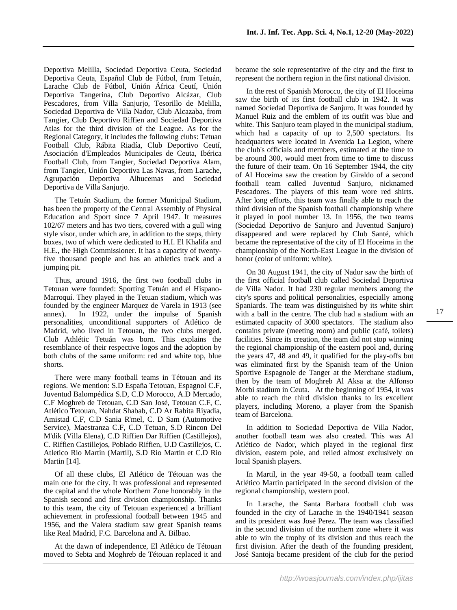Deportiva Melilla, Sociedad Deportiva Ceuta, Sociedad Deportiva Ceuta, Español Club de Fútbol, from Tetuán, Larache Club de Fútbol, Unión África Ceutí, Unión Deportiva Tangerina, Club Deportivo Alcázar, Club Pescadores, from Villa Sanjurjo, Tesorillo de Melilla, Sociedad Deportiva de Villa Nador, Club Alcazaba, from Tangier, Club Deportivo Riffien and Sociedad Deportiva Atlas for the third division of the League. As for the Regional Category, it includes the following clubs: Tetuan Football Club, Rábita Riadía, Club Deportivo Ceutí, Asociación d'Empleados Municipales de Ceuta, Ibérica Football Club, from Tangier, Sociedad Deportiva Alam, from Tangier, Unión Deportiva Las Navas, from Larache, Agrupación Deportiva Alhucemas and Sociedad Deportiva de Villa Sanjurjo.

The Tetuán Stadium, the former Municipal Stadium, has been the property of the Central Assembly of Physical Education and Sport since 7 April 1947. It measures 102/67 meters and has two tiers, covered with a gull wing style visor, under which are, in addition to the steps, thirty boxes, two of which were dedicated to H.I. El Khalifa and H.E., the High Commissioner. It has a capacity of twentyfive thousand people and has an athletics track and a jumping pit.

Thus, around 1916, the first two football clubs in Tetouan were founded: Sporting Tetuán and el Hispano-Marroquí. They played in the Tetuan stadium, which was founded by the engineer Marquez de Varela in 1913 (see annex). In 1922, under the impulse of Spanish personalities, unconditional supporters of Atlético de Madrid, who lived in Tetouan, the two clubs merged. Club Athlétic Tetuán was born. This explains the resemblance of their respective logos and the adoption by both clubs of the same uniform: red and white top, blue shorts.

There were many football teams in Tétouan and its regions. We mention: S.D España Tetouan, Espagnol C.F, Juventud Balompédica S.D, C.D Morocco, A.D Mercado, C.F Moghreb de Tetouan, C.D San José, Tetouan C.F, C. Atlético Tetouan, Nahdat Shabab, C.D Ar Rabita Riyadia, Amistad C.F, C.D Sania R'mel, C. D Sam (Automotive Service), Maestranza C.F, C.D Tetuan, S.D Rincon Del M'dik (Villa Elena), C.D Riffien Dar Riffien (Castillejos), C. Riffien Castillejos, Poblado Riffien, U.D Castillejos, C. Atletico Rio Martin (Martil), S.D Rio Martin et C.D Rio Martin [14].

Of all these clubs, El Atlético de Tétouan was the main one for the city. It was professional and represented the capital and the whole Northern Zone honorably in the Spanish second and first division championship. Thanks to this team, the city of Tetouan experienced a brilliant achievement in professional football between 1945 and 1956, and the Valera stadium saw great Spanish teams like Real Madrid, F.C. Barcelona and A. Bilbao.

At the dawn of independence, El Atlético de Tétouan moved to Sebta and Moghreb de Tétouan replaced it and

became the sole representative of the city and the first to represent the northern region in the first national division.

In the rest of Spanish Morocco, the city of El Hoceima saw the birth of its first football club in 1942. It was named Sociedad Deportiva de Sanjuro. It was founded by Manuel Ruiz and the emblem of its outfit was blue and white. This Sanjuro team played in the municipal stadium, which had a capacity of up to 2,500 spectators. Its headquarters were located in Avenida La Legion, where the club's officials and members, estimated at the time to be around 300, would meet from time to time to discuss the future of their team. On 16 September 1944, the city of Al Hoceima saw the creation by Giraldo of a second football team called Juventud Sanjuro, nicknamed Pescadores. The players of this team wore red shirts. After long efforts, this team was finally able to reach the third division of the Spanish football championship where it played in pool number 13. In 1956, the two teams (Sociedad Deportivo de Sanjuro and Juventud Sanjuro) disappeared and were replaced by Club Santé, which became the representative of the city of El Hoceima in the championship of the North-East League in the division of honor (color of uniform: white).

On 30 August 1941, the city of Nador saw the birth of the first official football club called Sociedad Deportiva de Villa Nador. It had 230 regular members among the city's sports and political personalities, especially among Spaniards. The team was distinguished by its white shirt with a ball in the centre. The club had a stadium with an estimated capacity of 3000 spectators. The stadium also contains private (meeting room) and public (café, toilets) facilities. Since its creation, the team did not stop winning the regional championship of the eastern pool and, during the years 47, 48 and 49, it qualified for the play-offs but was eliminated first by the Spanish team of the Union Sportive Espagnole de Tanger at the Merchane stadium, then by the team of Moghreb Al Aksa at the Alfonso Morbi stadium in Ceuta. At the beginning of 1954, it was able to reach the third division thanks to its excellent players, including Moreno, a player from the Spanish team of Barcelona.

In addition to Sociedad Deportiva de Villa Nador, another football team was also created. This was Al Atlético de Nador, which played in the regional first division, eastern pole, and relied almost exclusively on local Spanish players.

In Martil, in the year 49-50, a football team called Atlético Martin participated in the second division of the regional championship, western pool.

In Larache, the Santa Barbara football club was founded in the city of Larache in the 1940/1941 season and its president was José Perez. The team was classified in the second division of the northern zone where it was able to win the trophy of its division and thus reach the first division. After the death of the founding president, José Santoja became president of the club for the period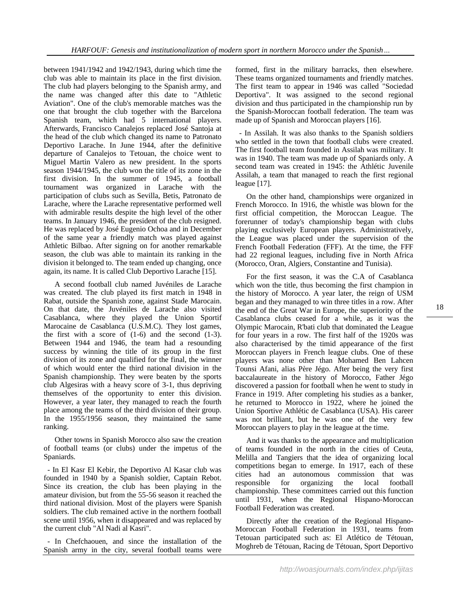between 1941/1942 and 1942/1943, during which time the club was able to maintain its place in the first division. The club had players belonging to the Spanish army, and the name was changed after this date to "Athletic Aviation". One of the club's memorable matches was the one that brought the club together with the Barcelona Spanish team, which had 5 international players. Afterwards, Francisco Canalejos replaced José Santoja at the head of the club which changed its name to Patronato Deportivo Larache. In June 1944, after the definitive departure of Canalejos to Tetouan, the choice went to Miguel Martin Valero as new president. In the sports season 1944/1945, the club won the title of its zone in the first division. In the summer of 1945, a football tournament was organized in Larache with the participation of clubs such as Sevilla, Betis, Patronato de Larache, where the Larache representative performed well with admirable results despite the high level of the other teams. In January 1946, the president of the club resigned. He was replaced by José Eugenio Ochoa and in December of the same year a friendly match was played against Athletic Bilbao. After signing on for another remarkable season, the club was able to maintain its ranking in the division it belonged to. The team ended up changing, once again, its name. It is called Club Deportivo Larache [15].

A second football club named Juvéniles de Larache was created. The club played its first match in 1948 in Rabat, outside the Spanish zone, against Stade Marocain. On that date, the Juvéniles de Larache also visited Casablanca, where they played the Union Sportif Marocaine de Casablanca (U.S.M.C). They lost games, the first with a score of  $(1-6)$  and the second  $(1-3)$ . Between 1944 and 1946, the team had a resounding success by winning the title of its group in the first division of its zone and qualified for the final, the winner of which would enter the third national division in the Spanish championship. They were beaten by the sports club Algesiras with a heavy score of 3-1, thus depriving themselves of the opportunity to enter this division. However, a year later, they managed to reach the fourth place among the teams of the third division of their group. In the 1955/1956 season, they maintained the same ranking.

Other towns in Spanish Morocco also saw the creation of football teams (or clubs) under the impetus of the Spaniards.

 - In El Kasr El Kebir, the Deportivo Al Kasar club was founded in 1940 by a Spanish soldier, Captain Rebot. Since its creation, the club has been playing in the amateur division, but from the 55-56 season it reached the third national division. Most of the players were Spanish soldiers. The club remained active in the northern football scene until 1956, when it disappeared and was replaced by the current club "Al Nadi al Kasri".

 - In Chefchaouen, and since the installation of the Spanish army in the city, several football teams were

formed, first in the military barracks, then elsewhere. These teams organized tournaments and friendly matches. The first team to appear in 1946 was called "Sociedad Deportiva". It was assigned to the second regional division and thus participated in the championship run by the Spanish-Moroccan football federation. The team was made up of Spanish and Moroccan players [16].

 - In Assilah. It was also thanks to the Spanish soldiers who settled in the town that football clubs were created. The first football team founded in Assilah was military. It was in 1940. The team was made up of Spaniards only. A second team was created in 1945: the Athlétic Juvenile Assilah, a team that managed to reach the first regional league [17].

On the other hand, championships were organized in French Morocco. In 1916, the whistle was blown for the first official competition, the Moroccan League. The forerunner of today's championship began with clubs playing exclusively European players. Administratively, the League was placed under the supervision of the French Football Federation (FFF). At the time, the FFF had 22 regional leagues, including five in North Africa (Morocco, Oran, Algiers, Constantine and Tunisia).

For the first season, it was the C.A of Casablanca which won the title, thus becoming the first champion in the history of Morocco. A year later, the reign of USM began and they managed to win three titles in a row. After the end of the Great War in Europe, the superiority of the Casablanca clubs ceased for a while, as it was the Olympic Marocain, R'bati club that dominated the League for four years in a row. The first half of the 1920s was also characterised by the timid appearance of the first Moroccan players in French league clubs. One of these players was none other than Mohamed Ben Lahcen Tounsi Afani, alias Père Jégo. After being the very first baccalaureate in the history of Morocco, Father Jégo discovered a passion for football when he went to study in France in 1919. After completing his studies as a banker, he returned to Morocco in 1922, where he joined the Union Sportive Athlétic de Casablanca (USA). His career was not brilliant, but he was one of the very few Moroccan players to play in the league at the time.

And it was thanks to the appearance and multiplication of teams founded in the north in the cities of Ceuta, Melilla and Tangiers that the idea of organizing local competitions began to emerge. In 1917, each of these cities had an autonomous commission that was responsible for organizing the local football championship. These committees carried out this function until 1931, when the Regional Hispano-Moroccan Football Federation was created.

Directly after the creation of the Regional Hispano-Moroccan Football Federation in 1931, teams from Tetouan participated such as: El Atlético de Tétouan, Moghreb de Tétouan, Racing de Tétouan, Sport Deportivo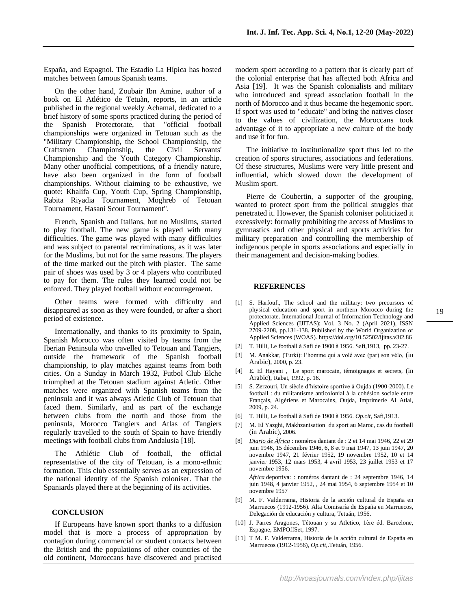España, and Espagnol. The Estadio La Hípica has hosted matches between famous Spanish teams.

On the other hand, Zoubair Ibn Amine, author of a book on El Atlético de Tetuàn, reports, in an article published in the regional weekly Achamal, dedicated to a brief history of some sports practiced during the period of the Spanish Protectorate, that "official football championships were organized in Tetouan such as the "Military Championship, the School Championship, the Craftsmen Championship, the Civil Servants' Championship and the Youth Category Championship. Many other unofficial competitions, of a friendly nature, have also been organized in the form of football championships. Without claiming to be exhaustive, we quote: Khalifa Cup, Youth Cup, Spring Championship, Rabita Riyadia Tournament, Moghreb of Tetouan Tournament, Hasani Scout Tournament".

French, Spanish and Italians, but no Muslims, started to play football. The new game is played with many difficulties. The game was played with many difficulties and was subject to parental recriminations, as it was later for the Muslims, but not for the same reasons. The players of the time marked out the pitch with plaster. The same pair of shoes was used by 3 or 4 players who contributed to pay for them. The rules they learned could not be enforced. They played football without encouragement.

Other teams were formed with difficulty and disappeared as soon as they were founded, or after a short period of existence.

Internationally, and thanks to its proximity to Spain, Spanish Morocco was often visited by teams from the Iberian Peninsula who travelled to Tetouan and Tangiers, outside the framework of the Spanish football championship, to play matches against teams from both cities. On a Sunday in March 1932, Futbol Club Elche triumphed at the Tetouan stadium against Atletic. Other matches were organized with Spanish teams from the peninsula and it was always Atletic Club of Tetouan that faced them. Similarly, and as part of the exchange between clubs from the north and those from the peninsula, Morocco Tangiers and Atlas of Tangiers regularly travelled to the south of Spain to have friendly meetings with football clubs from Andalusia [18].

The Athlétic Club of football, the official representative of the city of Tetouan, is a mono-ethnic formation. This club essentially serves as an expression of the national identity of the Spanish coloniser. That the Spaniards played there at the beginning of its activities.

#### **CONCLUSION**

If Europeans have known sport thanks to a diffusion model that is more a process of appropriation by contagion during commercial or student contacts between the British and the populations of other countries of the old continent, Moroccans have discovered and practised

modern sport according to a pattern that is clearly part of the colonial enterprise that has affected both Africa and Asia [19]. It was the Spanish colonialists and military who introduced and spread association football in the north of Morocco and it thus became the hegemonic sport. If sport was used to "educate" and bring the natives closer to the values of civilization, the Moroccans took advantage of it to appropriate a new culture of the body and use it for fun.

The initiative to institutionalize sport thus led to the creation of sports structures, associations and federations. Of these structures, Muslims were very little present and influential, which slowed down the development of Muslim sport.

Pierre de Coubertin, a supporter of the grouping, wanted to protect sport from the political struggles that penetrated it. However, the Spanish coloniser politicized it excessively: formally prohibiting the access of Muslims to gymnastics and other physical and sports activities for military preparation and controlling the membership of indigenous people in sports associations and especially in their management and decision-making bodies.

#### **REFERENCES**

novembre 1957

- [1] S. Harfouf., The school and the military: two precursors of physical education and sport in northern Morocco during the protectorate. International Journal of Information Technology and Applied Sciences (IJITAS): Vol. 3 No. 2 (April 2021), ISSN 2709-2208, pp.131-138. Published by the World Organization of Applied Sciences (WOAS)[. https://doi.org/10.52502/ijitas.v3i2.86](https://doi.org/10.52502/ijitas.v3i2.86)
- [2] T. Hilli, Le football à Safi de 1900 à 1956. Safi,1913, pp. 23-27.
- [3] M. Anakkar, (Turki): l'homme qui a volé avec (par) son vélo, (in Arabic), 2000, p. 23.
- [4] E. El Hayani , Le sport marocain, témoignages et secrets, (in Arabic), Rabat, 1992, p. 16.
- [5] S. Zerzouri, Un siècle d'histoire sportive à Oujda (1900-2000). Le football : du militantisme anticolonial à la cohésion sociale entre Français, Algériens et Marocains, Oujda, Imprimerie Al Atlal, 2009, p. 24.
- [6] T. Hilli, Le football à Safi de 1900 à 1956. *Op.cit*, Safi,1913.
- [7] M. El Yazghi, Makhzanisation du sport au Maroc, cas du football (in Arabic), 2006.
- [8] *Diario de África* : noméros dantant de : 2 et 14 mai 1946, 22 et 29 juin 1946, 15 décembre 1946, 6, 8 et 9 mai 1947, 13 juin 1947, 20 novembre 1947, 21 février 1952, 19 novembre 1952, 10 et 14 janvier 1953, 12 mars 1953, 4 avril 1953, 23 juillet 1953 et 17 novembre 1956. *África* deportiva: : noméros dantant de : 24 septembre 1946, 14 juin 1948, 4 janvier 1952, , 24 mai 1954, 6 septembre 1954 et 10
- [9] M. F. Valderrama, Historia de la acción cultural de España en Marruecos (1912-1956). Alta Comisaría de España en Marruecos, Delegación de educación y cultura, Tetuán, 1956.
- [10] J. Parres Aragones, Tétouan y su Atletico, 1ère éd. Barcelone, Espagne, EMPOffSet, 1997.
- [11] T M. F. Valderrama, Historia de la acción cultural de España en Marruecos (1912-1956), *Op.cit*,.Tetuán, 1956.